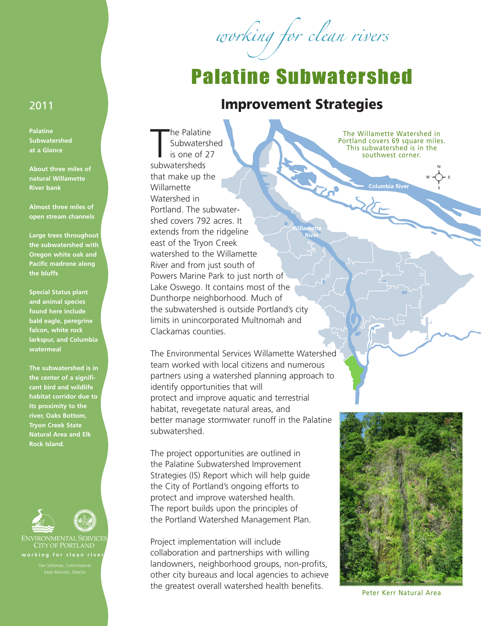working for clean rivers

## Palatine Subwatershed

## 2011 **Improvement Strategies**

En la Paris

The Palatin<br>
Subwater<br>
is one of<br>
subwatersheds he Palatine Subwatershed is one of 27 that make up the Willamette Watershed in Portland. The subwatershed covers 792 acres. It extends from the ridgeline east of the Tryon Creek watershed to the Willamette River and from just south of Powers Marine Park to just north of Lake Oswego. It contains most of the Dunthorpe neighborhood. Much of the subwatershed is outside Portland's city limits in unincorporated Multnomah and Clackamas counties.

The Environmental Services Willamette Watershed team worked with local citizens and numerous partners using a watershed planning approach to identify opportunities that will protect and improve aquatic and terrestrial habitat, revegetate natural areas, and better manage stormwater runoff in the Palatine subwatershed.

The project opportunities are outlined in the Palatine Subwatershed Improvement Strategies (IS) Report which will help guide the City of Portland's ongoing efforts to protect and improve watershed health. The report builds upon the principles of the Portland Watershed Management Plan.

Project implementation will include collaboration and partnerships with willing landowners, neighborhood groups, non-profits, other city bureaus and local agencies to achieve the greatest overall watershed health benefits.

The Willamette Watershed in Portland covers 69 square miles. This subwatershed is in the southwest corner.

**Columbia River** 

**and animal species found here include bald eagle, peregrine falcon, white rock larkspur, and Columbia watermeal**

**Special Status plant**

**Palatine Subwatershed at a Glance**

**About three miles of natural Willamette River bank**

**Almost three miles of open stream channels**

**Large trees throughout the subwatershed with Oregon white oak and Pacific madrone along**

**the bluffs**

**The subwatershed is in the center of a significant bird and wildlife habitat corridor due to its proximity to the river, Oaks Bottom, Tryon Creek State Natural Area and Elk Rock Island.**



**CITY OF PORTLAND** working for clean river



Peter Kerr Natural Area